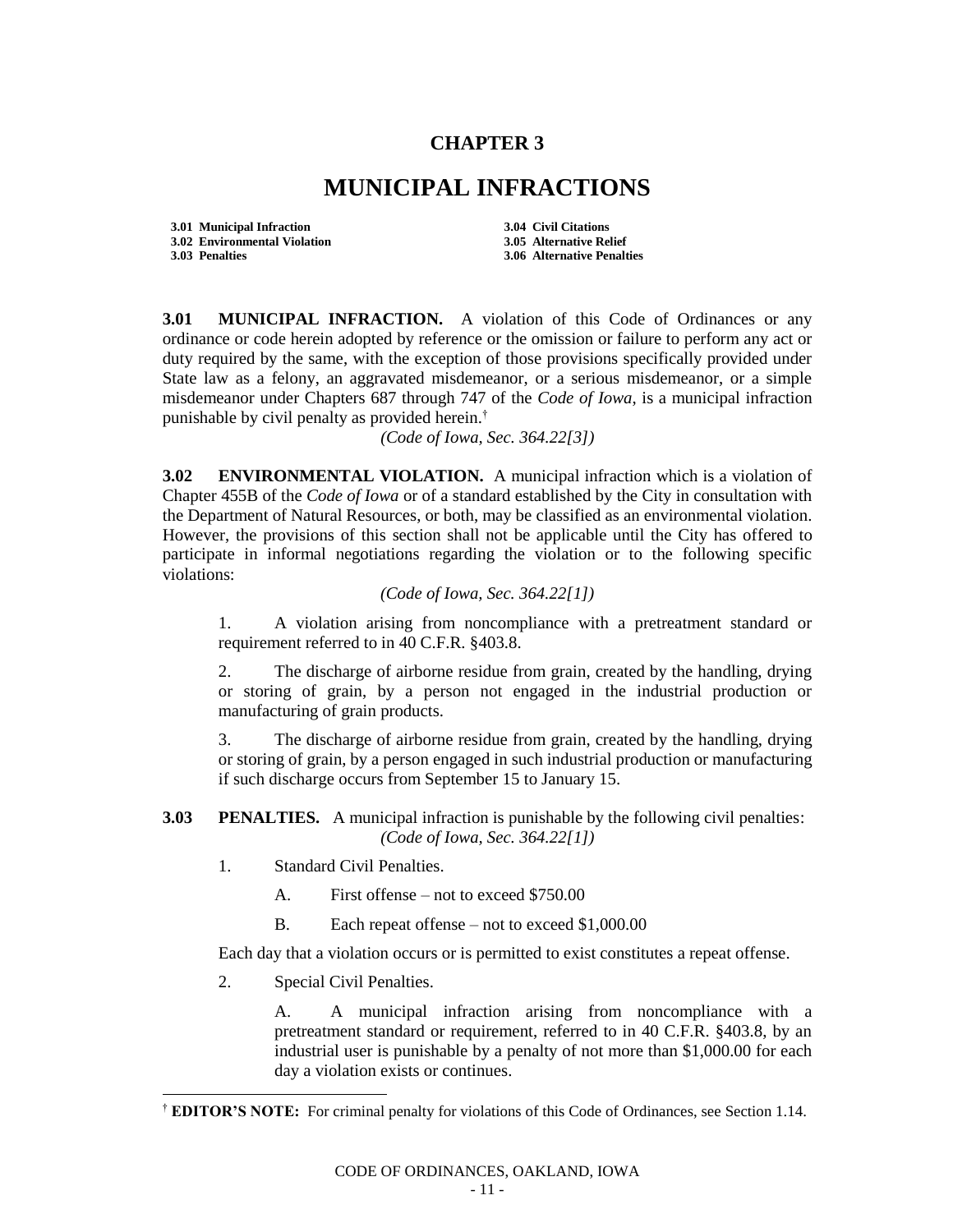## **CHAPTER 3**

## **MUNICIPAL INFRACTIONS**

**3.01 Municipal Infraction 3.04 Civil Citations 3.02 Environmental Violation 3.05 Alternative Relief**

**3.03 Penalties 3.06 Alternative Penalties**

**3.01 MUNICIPAL INFRACTION.** A violation of this Code of Ordinances or any ordinance or code herein adopted by reference or the omission or failure to perform any act or duty required by the same, with the exception of those provisions specifically provided under State law as a felony, an aggravated misdemeanor, or a serious misdemeanor, or a simple misdemeanor under Chapters 687 through 747 of the *Code of Iowa*, is a municipal infraction punishable by civil penalty as provided herein.†

*(Code of Iowa, Sec. 364.22[3])*

**3.02 ENVIRONMENTAL VIOLATION.** A municipal infraction which is a violation of Chapter 455B of the *Code of Iowa* or of a standard established by the City in consultation with the Department of Natural Resources, or both, may be classified as an environmental violation. However, the provisions of this section shall not be applicable until the City has offered to participate in informal negotiations regarding the violation or to the following specific violations:

## *(Code of Iowa, Sec. 364.22[1])*

1. A violation arising from noncompliance with a pretreatment standard or requirement referred to in 40 C.F.R. §403.8.

2. The discharge of airborne residue from grain, created by the handling, drying or storing of grain, by a person not engaged in the industrial production or manufacturing of grain products.

3. The discharge of airborne residue from grain, created by the handling, drying or storing of grain, by a person engaged in such industrial production or manufacturing if such discharge occurs from September 15 to January 15.

## **3.03 PENALTIES.** A municipal infraction is punishable by the following civil penalties: *(Code of Iowa, Sec. 364.22[1])*

- 1. Standard Civil Penalties.
	- A. First offense not to exceed \$750.00
	- B. Each repeat offense not to exceed \$1,000.00

Each day that a violation occurs or is permitted to exist constitutes a repeat offense.

2. Special Civil Penalties.

 $\overline{\phantom{a}}$ 

A. A municipal infraction arising from noncompliance with a pretreatment standard or requirement, referred to in 40 C.F.R. §403.8, by an industrial user is punishable by a penalty of not more than \$1,000.00 for each day a violation exists or continues.

<sup>†</sup> **EDITOR'S NOTE:** For criminal penalty for violations of this Code of Ordinances, see Section 1.14.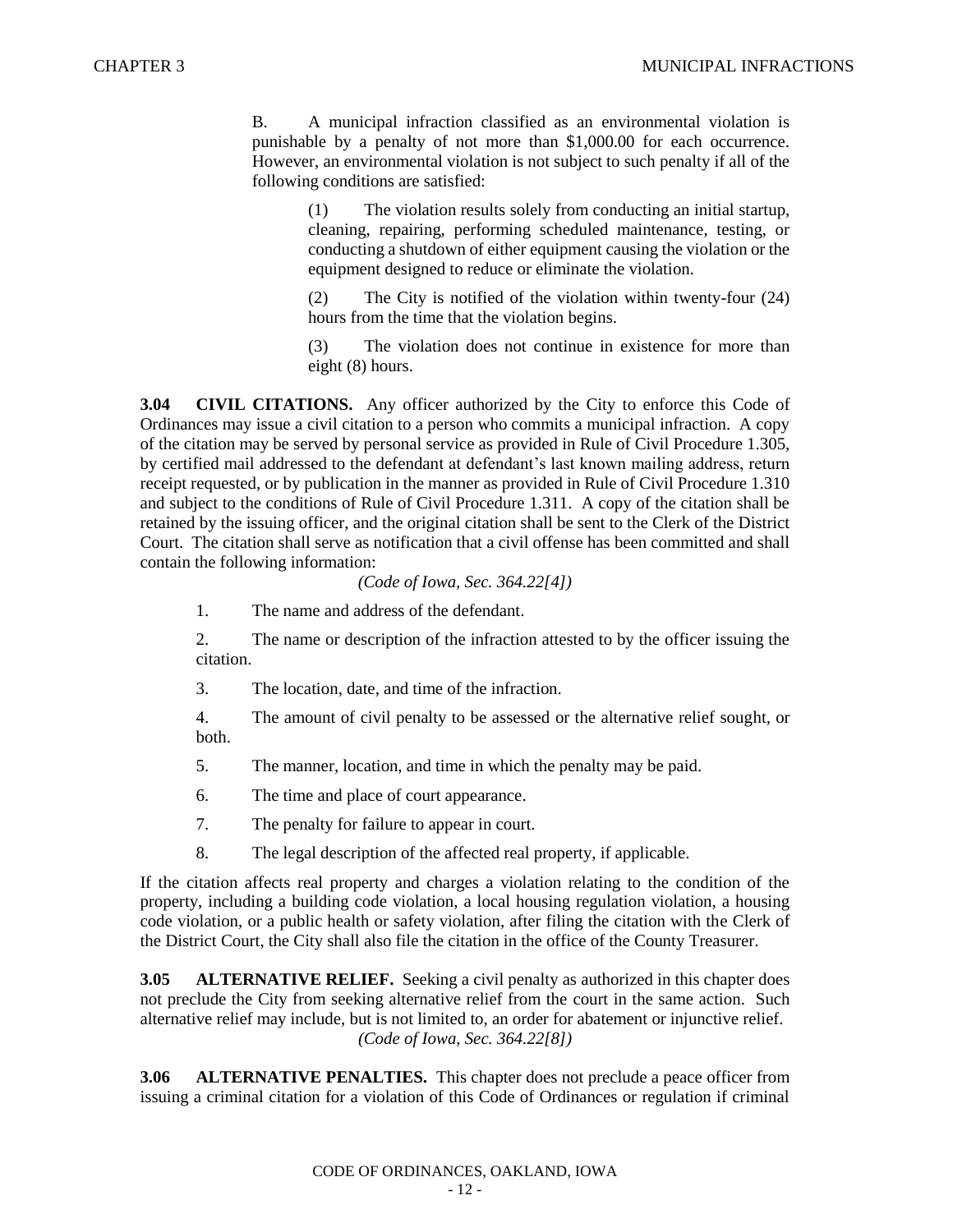B. A municipal infraction classified as an environmental violation is punishable by a penalty of not more than \$1,000.00 for each occurrence. However, an environmental violation is not subject to such penalty if all of the following conditions are satisfied:

> (1) The violation results solely from conducting an initial startup, cleaning, repairing, performing scheduled maintenance, testing, or conducting a shutdown of either equipment causing the violation or the equipment designed to reduce or eliminate the violation.

> (2) The City is notified of the violation within twenty-four (24) hours from the time that the violation begins.

> (3) The violation does not continue in existence for more than eight (8) hours.

**3.04 CIVIL CITATIONS.** Any officer authorized by the City to enforce this Code of Ordinances may issue a civil citation to a person who commits a municipal infraction. A copy of the citation may be served by personal service as provided in Rule of Civil Procedure 1.305, by certified mail addressed to the defendant at defendant's last known mailing address, return receipt requested, or by publication in the manner as provided in Rule of Civil Procedure 1.310 and subject to the conditions of Rule of Civil Procedure 1.311. A copy of the citation shall be retained by the issuing officer, and the original citation shall be sent to the Clerk of the District Court. The citation shall serve as notification that a civil offense has been committed and shall contain the following information:

*(Code of Iowa, Sec. 364.22[4])*

1. The name and address of the defendant.

2. The name or description of the infraction attested to by the officer issuing the citation.

3. The location, date, and time of the infraction.

4. The amount of civil penalty to be assessed or the alternative relief sought, or both.

5. The manner, location, and time in which the penalty may be paid.

6. The time and place of court appearance.

7. The penalty for failure to appear in court.

8. The legal description of the affected real property, if applicable.

If the citation affects real property and charges a violation relating to the condition of the property, including a building code violation, a local housing regulation violation, a housing code violation, or a public health or safety violation, after filing the citation with the Clerk of the District Court, the City shall also file the citation in the office of the County Treasurer.

**3.05 ALTERNATIVE RELIEF.** Seeking a civil penalty as authorized in this chapter does not preclude the City from seeking alternative relief from the court in the same action. Such alternative relief may include, but is not limited to, an order for abatement or injunctive relief. *(Code of Iowa, Sec. 364.22[8])*

**3.06 ALTERNATIVE PENALTIES.** This chapter does not preclude a peace officer from issuing a criminal citation for a violation of this Code of Ordinances or regulation if criminal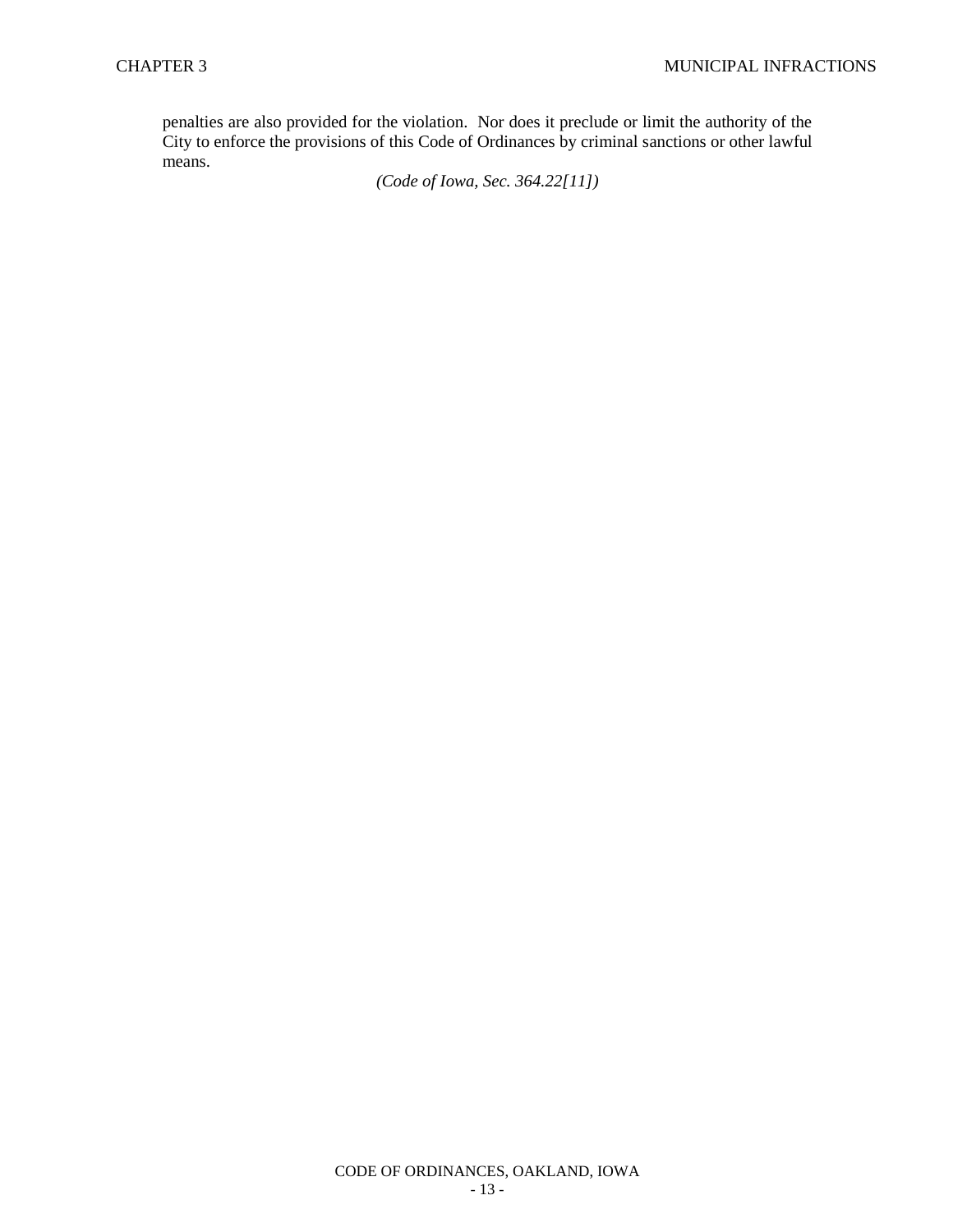penalties are also provided for the violation. Nor does it preclude or limit the authority of the City to enforce the provisions of this Code of Ordinances by criminal sanctions or other lawful means.

*(Code of Iowa, Sec. 364.22[11])*